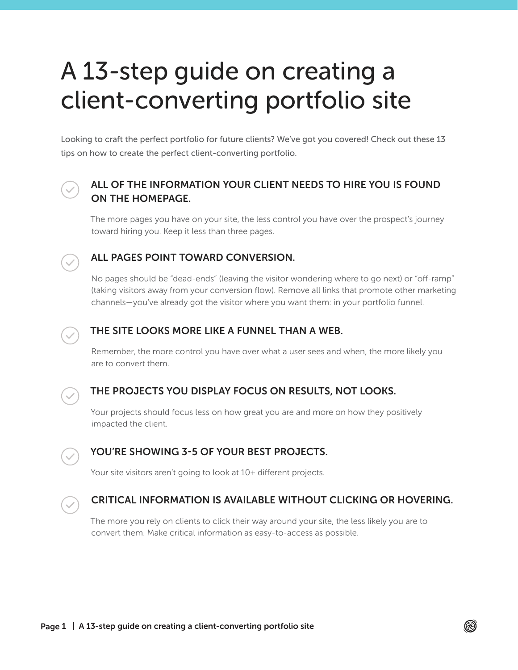# A 13-step guide on creating a client-converting portfolio site

Looking to craft the perfect portfolio for future clients? We've got you covered! Check out these 13 tips on how to create the perfect client-converting portfolio.



# ALL OF THE INFORMATION YOUR CLIENT NEEDS TO HIRE YOU IS FOUND ON THE HOMEPAGE.

The more pages you have on your site, the less control you have over the prospect's journey toward hiring you. Keep it less than three pages.



## ALL PAGES POINT TOWARD CONVERSION.

No pages should be "dead-ends" (leaving the visitor wondering where to go next) or "off-ramp" (taking visitors away from your conversion flow). Remove all links that promote other marketing channels—you've already got the visitor where you want them: in your portfolio funnel.



## THE SITE LOOKS MORE LIKE A FUNNEL THAN A WEB.

Remember, the more control you have over what a user sees and when, the more likely you are to convert them.



# THE PROJECTS YOU DISPLAY FOCUS ON RESULTS, NOT LOOKS.

Your projects should focus less on how great you are and more on how they positively impacted the client.



# YOU'RE SHOWING 3-5 OF YOUR BEST PROJECTS.

Your site visitors aren't going to look at 10+ different projects.



# CRITICAL INFORMATION IS AVAILABLE WITHOUT CLICKING OR HOVERING.

The more you rely on clients to click their way around your site, the less likely you are to convert them. Make critical information as easy-to-access as possible.